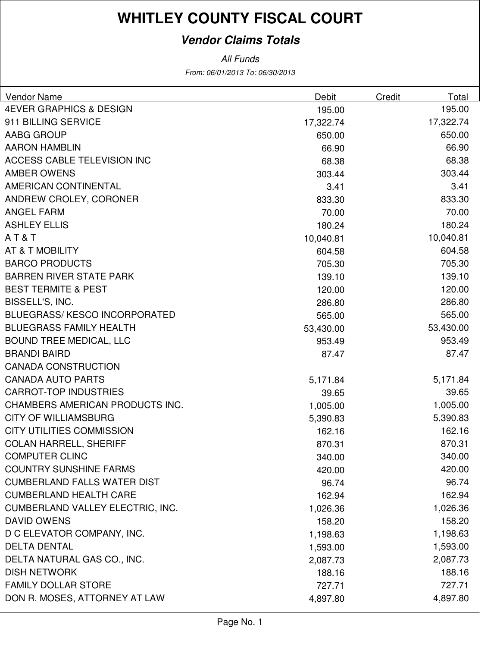#### **Vendor Claims Totals**

| Vendor Name                         | Debit     | Credit | Total     |
|-------------------------------------|-----------|--------|-----------|
| <b>4EVER GRAPHICS &amp; DESIGN</b>  | 195.00    |        | 195.00    |
| 911 BILLING SERVICE                 | 17,322.74 |        | 17,322.74 |
| <b>AABG GROUP</b>                   | 650.00    |        | 650.00    |
| <b>AARON HAMBLIN</b>                | 66.90     |        | 66.90     |
| <b>ACCESS CABLE TELEVISION INC</b>  | 68.38     |        | 68.38     |
| <b>AMBER OWENS</b>                  | 303.44    |        | 303.44    |
| <b>AMERICAN CONTINENTAL</b>         | 3.41      |        | 3.41      |
| ANDREW CROLEY, CORONER              | 833.30    |        | 833.30    |
| <b>ANGEL FARM</b>                   | 70.00     |        | 70.00     |
| <b>ASHLEY ELLIS</b>                 | 180.24    |        | 180.24    |
| AT&T                                | 10,040.81 |        | 10,040.81 |
| AT & T MOBILITY                     | 604.58    |        | 604.58    |
| <b>BARCO PRODUCTS</b>               | 705.30    |        | 705.30    |
| <b>BARREN RIVER STATE PARK</b>      | 139.10    |        | 139.10    |
| <b>BEST TERMITE &amp; PEST</b>      | 120.00    |        | 120.00    |
| BISSELL'S, INC.                     | 286.80    |        | 286.80    |
| <b>BLUEGRASS/KESCO INCORPORATED</b> | 565.00    |        | 565.00    |
| <b>BLUEGRASS FAMILY HEALTH</b>      | 53,430.00 |        | 53,430.00 |
| <b>BOUND TREE MEDICAL, LLC</b>      | 953.49    |        | 953.49    |
| <b>BRANDI BAIRD</b>                 | 87.47     |        | 87.47     |
| <b>CANADA CONSTRUCTION</b>          |           |        |           |
| <b>CANADA AUTO PARTS</b>            | 5,171.84  |        | 5,171.84  |
| <b>CARROT-TOP INDUSTRIES</b>        | 39.65     |        | 39.65     |
| CHAMBERS AMERICAN PRODUCTS INC.     | 1,005.00  |        | 1,005.00  |
| <b>CITY OF WILLIAMSBURG</b>         | 5,390.83  |        | 5,390.83  |
| <b>CITY UTILITIES COMMISSION</b>    | 162.16    |        | 162.16    |
| <b>COLAN HARRELL, SHERIFF</b>       | 870.31    |        | 870.31    |
| <b>COMPUTER CLINC</b>               | 340.00    |        | 340.00    |
| <b>COUNTRY SUNSHINE FARMS</b>       | 420.00    |        | 420.00    |
| <b>CUMBERLAND FALLS WATER DIST</b>  | 96.74     |        | 96.74     |
| <b>CUMBERLAND HEALTH CARE</b>       | 162.94    |        | 162.94    |
| CUMBERLAND VALLEY ELECTRIC, INC.    | 1,026.36  |        | 1,026.36  |
| <b>DAVID OWENS</b>                  | 158.20    |        | 158.20    |
| D C ELEVATOR COMPANY, INC.          | 1,198.63  |        | 1,198.63  |
| <b>DELTA DENTAL</b>                 | 1,593.00  |        | 1,593.00  |
| DELTA NATURAL GAS CO., INC.         | 2,087.73  |        | 2,087.73  |
| <b>DISH NETWORK</b>                 | 188.16    |        | 188.16    |
| <b>FAMILY DOLLAR STORE</b>          | 727.71    |        | 727.71    |
| DON R. MOSES, ATTORNEY AT LAW       | 4,897.80  |        | 4,897.80  |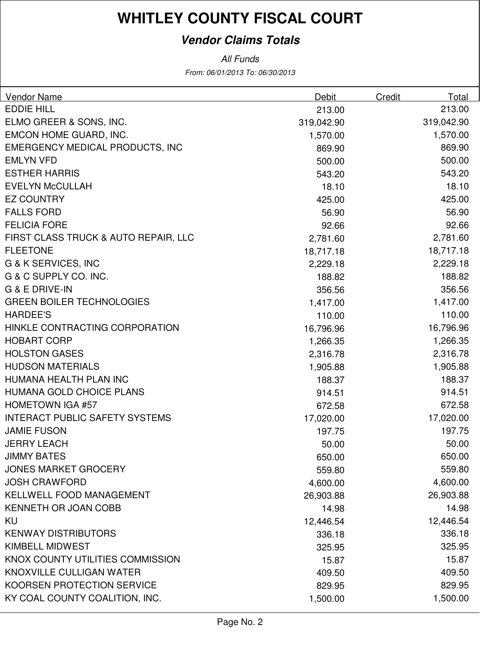#### **Vendor Claims Totals**

| <b>Vendor Name</b>                     | <b>Debit</b> | <b>Credit</b> | Total      |
|----------------------------------------|--------------|---------------|------------|
| <b>EDDIE HILL</b>                      | 213.00       |               | 213.00     |
| ELMO GREER & SONS, INC.                | 319,042.90   |               | 319,042.90 |
| EMCON HOME GUARD, INC.                 | 1,570.00     |               | 1,570.00   |
| <b>EMERGENCY MEDICAL PRODUCTS, INC</b> | 869.90       |               | 869.90     |
| <b>EMLYN VFD</b>                       | 500.00       |               | 500.00     |
| <b>ESTHER HARRIS</b>                   | 543.20       |               | 543.20     |
| <b>EVELYN McCULLAH</b>                 | 18.10        |               | 18.10      |
| <b>EZ COUNTRY</b>                      | 425.00       |               | 425.00     |
| <b>FALLS FORD</b>                      | 56.90        |               | 56.90      |
| <b>FELICIA FORE</b>                    | 92.66        |               | 92.66      |
| FIRST CLASS TRUCK & AUTO REPAIR, LLC   | 2,781.60     |               | 2,781.60   |
| <b>FLEETONE</b>                        | 18,717.18    |               | 18,717.18  |
| <b>G &amp; K SERVICES, INC</b>         | 2,229.18     |               | 2,229.18   |
| G & C SUPPLY CO. INC.                  | 188.82       |               | 188.82     |
| <b>G &amp; E DRIVE-IN</b>              | 356.56       |               | 356.56     |
| <b>GREEN BOILER TECHNOLOGIES</b>       | 1,417.00     |               | 1,417.00   |
| <b>HARDEE'S</b>                        | 110.00       |               | 110.00     |
| HINKLE CONTRACTING CORPORATION         | 16,796.96    |               | 16,796.96  |
| <b>HOBART CORP</b>                     | 1,266.35     |               | 1,266.35   |
| <b>HOLSTON GASES</b>                   | 2,316.78     |               | 2,316.78   |
| <b>HUDSON MATERIALS</b>                | 1,905.88     |               | 1,905.88   |
| HUMANA HEALTH PLAN INC                 | 188.37       |               | 188.37     |
| <b>HUMANA GOLD CHOICE PLANS</b>        | 914.51       |               | 914.51     |
| <b>HOMETOWN IGA #57</b>                | 672.58       |               | 672.58     |
| <b>INTERACT PUBLIC SAFETY SYSTEMS</b>  | 17,020.00    |               | 17,020.00  |
| <b>JAMIE FUSON</b>                     | 197.75       |               | 197.75     |
| <b>JERRY LEACH</b>                     | 50.00        |               | 50.00      |
| <b>JIMMY BATES</b>                     | 650.00       |               | 650.00     |
| <b>JONES MARKET GROCERY</b>            | 559.80       |               | 559.80     |
| <b>JOSH CRAWFORD</b>                   | 4,600.00     |               | 4,600.00   |
| <b>KELLWELL FOOD MANAGEMENT</b>        | 26,903.88    |               | 26,903.88  |
| KENNETH OR JOAN COBB                   | 14.98        |               | 14.98      |
| KU                                     | 12,446.54    |               | 12,446.54  |
| <b>KENWAY DISTRIBUTORS</b>             | 336.18       |               | 336.18     |
| <b>KIMBELL MIDWEST</b>                 | 325.95       |               | 325.95     |
| KNOX COUNTY UTILITIES COMMISSION       | 15.87        |               | 15.87      |
| KNOXVILLE CULLIGAN WATER               | 409.50       |               | 409.50     |
| KOORSEN PROTECTION SERVICE             | 829.95       |               | 829.95     |
| KY COAL COUNTY COALITION, INC.         | 1,500.00     |               | 1,500.00   |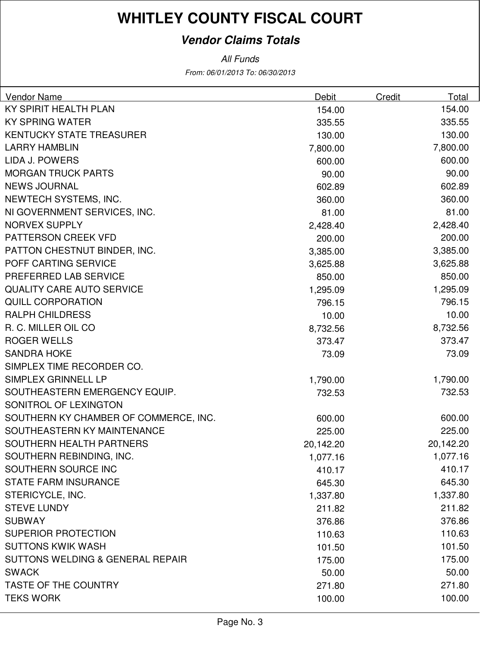#### **Vendor Claims Totals**

| <b>Vendor Name</b>                    | Debit     | Credit | Total     |
|---------------------------------------|-----------|--------|-----------|
| KY SPIRIT HEALTH PLAN                 | 154.00    |        | 154.00    |
| <b>KY SPRING WATER</b>                | 335.55    |        | 335.55    |
| <b>KENTUCKY STATE TREASURER</b>       | 130.00    |        | 130.00    |
| <b>LARRY HAMBLIN</b>                  | 7,800.00  |        | 7,800.00  |
| LIDA J. POWERS                        | 600.00    |        | 600.00    |
| <b>MORGAN TRUCK PARTS</b>             | 90.00     |        | 90.00     |
| <b>NEWS JOURNAL</b>                   | 602.89    |        | 602.89    |
| NEWTECH SYSTEMS, INC.                 | 360.00    |        | 360.00    |
| NI GOVERNMENT SERVICES, INC.          | 81.00     |        | 81.00     |
| <b>NORVEX SUPPLY</b>                  | 2,428.40  |        | 2,428.40  |
| PATTERSON CREEK VFD                   | 200.00    |        | 200.00    |
| PATTON CHESTNUT BINDER, INC.          | 3,385.00  |        | 3,385.00  |
| POFF CARTING SERVICE                  | 3,625.88  |        | 3,625.88  |
| PREFERRED LAB SERVICE                 | 850.00    |        | 850.00    |
| <b>QUALITY CARE AUTO SERVICE</b>      | 1,295.09  |        | 1,295.09  |
| <b>QUILL CORPORATION</b>              | 796.15    |        | 796.15    |
| <b>RALPH CHILDRESS</b>                | 10.00     |        | 10.00     |
| R. C. MILLER OIL CO                   | 8,732.56  |        | 8,732.56  |
| <b>ROGER WELLS</b>                    | 373.47    |        | 373.47    |
| <b>SANDRA HOKE</b>                    | 73.09     |        | 73.09     |
| SIMPLEX TIME RECORDER CO.             |           |        |           |
| SIMPLEX GRINNELL LP                   | 1,790.00  |        | 1,790.00  |
| SOUTHEASTERN EMERGENCY EQUIP.         | 732.53    |        | 732.53    |
| SONITROL OF LEXINGTON                 |           |        |           |
| SOUTHERN KY CHAMBER OF COMMERCE, INC. | 600.00    |        | 600.00    |
| SOUTHEASTERN KY MAINTENANCE           | 225.00    |        | 225.00    |
| SOUTHERN HEALTH PARTNERS              | 20,142.20 |        | 20,142.20 |
| SOUTHERN REBINDING, INC.              | 1,077.16  |        | 1,077.16  |
| SOUTHERN SOURCE INC                   | 410.17    |        | 410.17    |
| <b>STATE FARM INSURANCE</b>           | 645.30    |        | 645.30    |
| STERICYCLE, INC.                      | 1,337.80  |        | 1,337.80  |
| <b>STEVE LUNDY</b>                    | 211.82    |        | 211.82    |
| <b>SUBWAY</b>                         | 376.86    |        | 376.86    |
| <b>SUPERIOR PROTECTION</b>            | 110.63    |        | 110.63    |
| <b>SUTTONS KWIK WASH</b>              | 101.50    |        | 101.50    |
| SUTTONS WELDING & GENERAL REPAIR      | 175.00    |        | 175.00    |
| <b>SWACK</b>                          | 50.00     |        | 50.00     |
| TASTE OF THE COUNTRY                  | 271.80    |        | 271.80    |
| <b>TEKS WORK</b>                      | 100.00    |        | 100.00    |